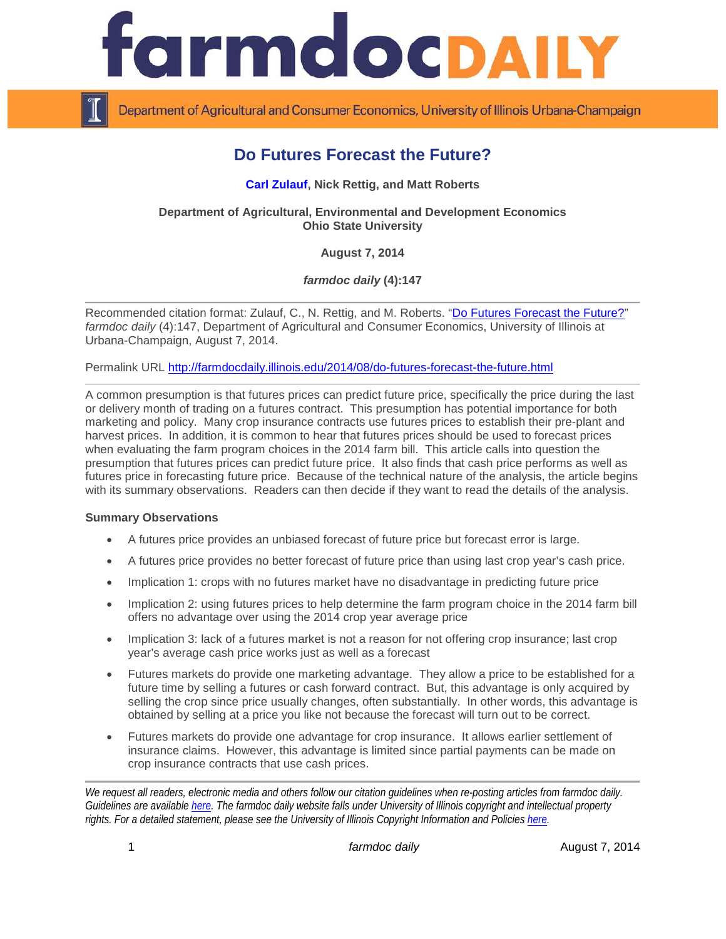

Department of Agricultural and Consumer Economics, University of Illinois Urbana-Champaign

# **Do Futures Forecast the Future?**

#### **[Carl Zulauf,](http://aede.osu.edu/our-people/carl-zulauf) Nick Rettig, and Matt Roberts**

**Department of Agricultural, Environmental and Development Economics Ohio State University**

**August 7, 2014**

*farmdoc daily* **(4):147**

Recommended citation format: Zulauf, C., N. Rettig, and M. Roberts. ["Do Futures Forecast the Future?"](http://farmdocdaily.illinois.edu/2014/08/do-futures-forecast-the-future.html) *farmdoc daily* (4):147, Department of Agricultural and Consumer Economics, University of Illinois at Urbana-Champaign, August 7, 2014.

Permalink URL<http://farmdocdaily.illinois.edu/2014/08/do-futures-forecast-the-future.html>

A common presumption is that futures prices can predict future price, specifically the price during the last or delivery month of trading on a futures contract. This presumption has potential importance for both marketing and policy. Many crop insurance contracts use futures prices to establish their pre-plant and harvest prices. In addition, it is common to hear that futures prices should be used to forecast prices when evaluating the farm program choices in the 2014 farm bill. This article calls into question the presumption that futures prices can predict future price. It also finds that cash price performs as well as futures price in forecasting future price. Because of the technical nature of the analysis, the article begins with its summary observations. Readers can then decide if they want to read the details of the analysis.

#### **Summary Observations**

- A futures price provides an unbiased forecast of future price but forecast error is large.
- A futures price provides no better forecast of future price than using last crop year's cash price.
- Implication 1: crops with no futures market have no disadvantage in predicting future price
- Implication 2: using futures prices to help determine the farm program choice in the 2014 farm bill offers no advantage over using the 2014 crop year average price
- Implication 3: lack of a futures market is not a reason for not offering crop insurance; last crop year's average cash price works just as well as a forecast
- Futures markets do provide one marketing advantage. They allow a price to be established for a future time by selling a futures or cash forward contract. But, this advantage is only acquired by selling the crop since price usually changes, often substantially. In other words, this advantage is obtained by selling at a price you like not because the forecast will turn out to be correct.
- Futures markets do provide one advantage for crop insurance. It allows earlier settlement of insurance claims. However, this advantage is limited since partial payments can be made on crop insurance contracts that use cash prices.

*We request all readers, electronic media and others follow our citation guidelines when re-posting articles from farmdoc daily. Guidelines are available [here.](http://farmdocdaily.illinois.edu/citationguide.html) The farmdoc daily website falls under University of Illinois copyright and intellectual property rights. For a detailed statement, please see the University of Illinois Copyright Information and Policies [here.](http://www.cio.illinois.edu/policies/copyright/)*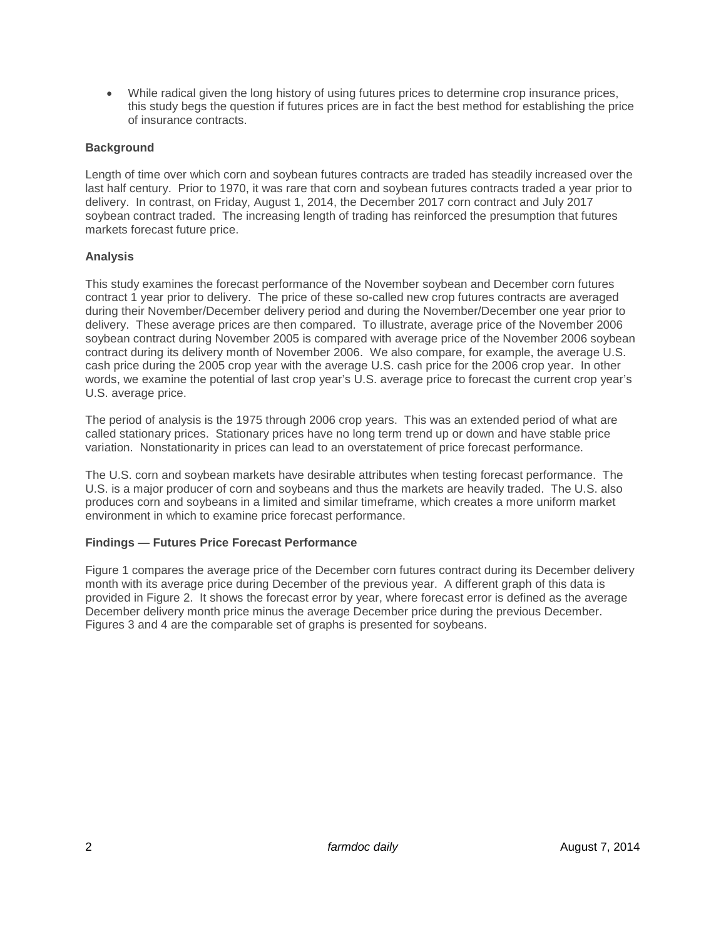• While radical given the long history of using futures prices to determine crop insurance prices, this study begs the question if futures prices are in fact the best method for establishing the price of insurance contracts.

### **Background**

Length of time over which corn and soybean futures contracts are traded has steadily increased over the last half century. Prior to 1970, it was rare that corn and soybean futures contracts traded a year prior to delivery. In contrast, on Friday, August 1, 2014, the December 2017 corn contract and July 2017 soybean contract traded. The increasing length of trading has reinforced the presumption that futures markets forecast future price.

## **Analysis**

This study examines the forecast performance of the November soybean and December corn futures contract 1 year prior to delivery. The price of these so-called new crop futures contracts are averaged during their November/December delivery period and during the November/December one year prior to delivery. These average prices are then compared. To illustrate, average price of the November 2006 soybean contract during November 2005 is compared with average price of the November 2006 soybean contract during its delivery month of November 2006. We also compare, for example, the average U.S. cash price during the 2005 crop year with the average U.S. cash price for the 2006 crop year. In other words, we examine the potential of last crop year's U.S. average price to forecast the current crop year's U.S. average price.

The period of analysis is the 1975 through 2006 crop years. This was an extended period of what are called stationary prices. Stationary prices have no long term trend up or down and have stable price variation. Nonstationarity in prices can lead to an overstatement of price forecast performance.

The U.S. corn and soybean markets have desirable attributes when testing forecast performance. The U.S. is a major producer of corn and soybeans and thus the markets are heavily traded. The U.S. also produces corn and soybeans in a limited and similar timeframe, which creates a more uniform market environment in which to examine price forecast performance.

# **Findings — Futures Price Forecast Performance**

Figure 1 compares the average price of the December corn futures contract during its December delivery month with its average price during December of the previous year. A different graph of this data is provided in Figure 2. It shows the forecast error by year, where forecast error is defined as the average December delivery month price minus the average December price during the previous December. Figures 3 and 4 are the comparable set of graphs is presented for soybeans.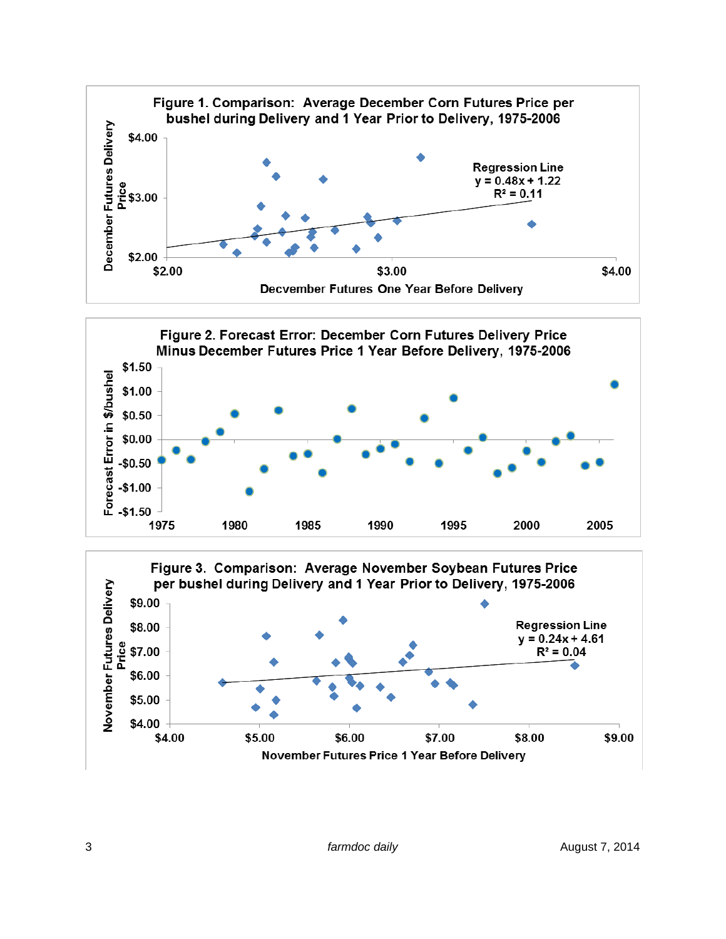



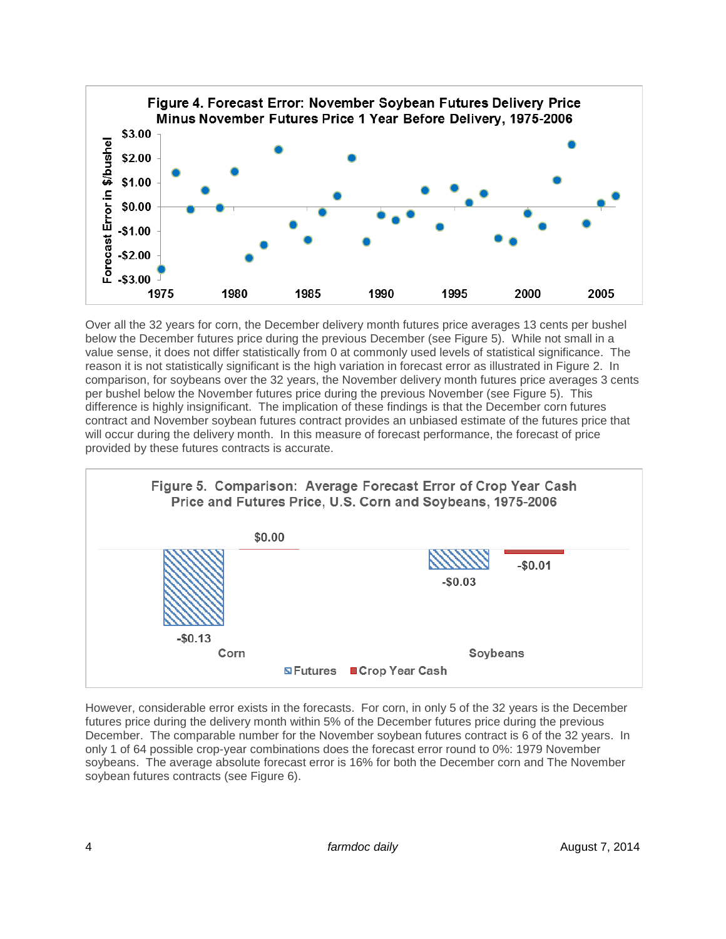

Over all the 32 years for corn, the December delivery month futures price averages 13 cents per bushel below the December futures price during the previous December (see Figure 5). While not small in a value sense, it does not differ statistically from 0 at commonly used levels of statistical significance. The reason it is not statistically significant is the high variation in forecast error as illustrated in Figure 2. In comparison, for soybeans over the 32 years, the November delivery month futures price averages 3 cents per bushel below the November futures price during the previous November (see Figure 5). This difference is highly insignificant. The implication of these findings is that the December corn futures contract and November soybean futures contract provides an unbiased estimate of the futures price that will occur during the delivery month. In this measure of forecast performance, the forecast of price provided by these futures contracts is accurate.



However, considerable error exists in the forecasts. For corn, in only 5 of the 32 years is the December futures price during the delivery month within 5% of the December futures price during the previous December. The comparable number for the November soybean futures contract is 6 of the 32 years. In only 1 of 64 possible crop-year combinations does the forecast error round to 0%: 1979 November soybeans. The average absolute forecast error is 16% for both the December corn and The November soybean futures contracts (see Figure 6).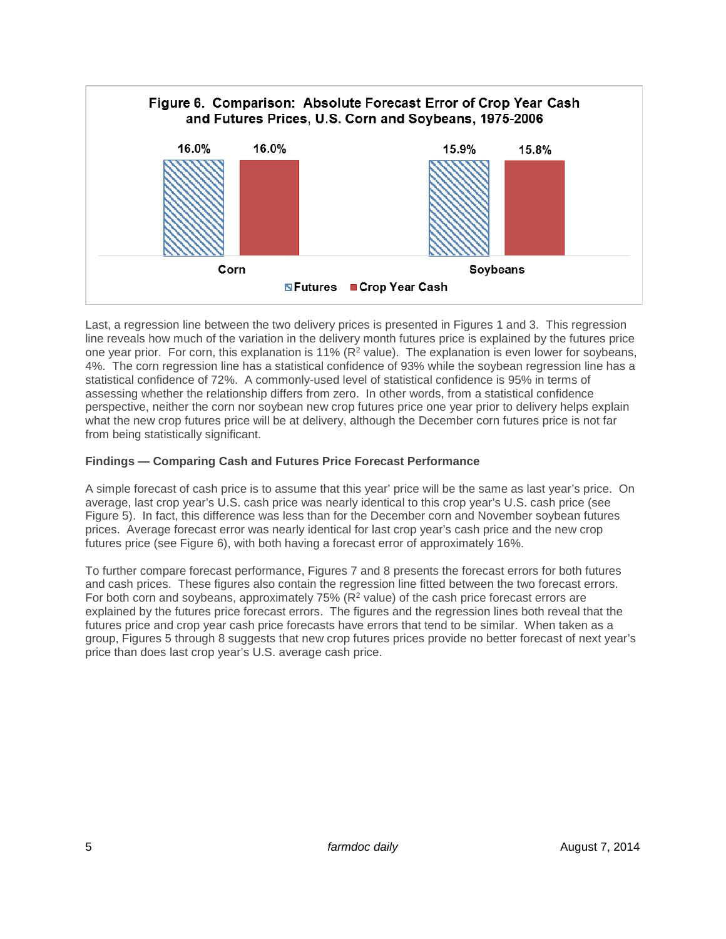

Last, a regression line between the two delivery prices is presented in Figures 1 and 3. This regression line reveals how much of the variation in the delivery month futures price is explained by the futures price one year prior. For corn, this explanation is 11% ( $R^2$  value). The explanation is even lower for soybeans, 4%. The corn regression line has a statistical confidence of 93% while the soybean regression line has a statistical confidence of 72%. A commonly-used level of statistical confidence is 95% in terms of assessing whether the relationship differs from zero. In other words, from a statistical confidence perspective, neither the corn nor soybean new crop futures price one year prior to delivery helps explain what the new crop futures price will be at delivery, although the December corn futures price is not far from being statistically significant.

### **Findings — Comparing Cash and Futures Price Forecast Performance**

A simple forecast of cash price is to assume that this year' price will be the same as last year's price. On average, last crop year's U.S. cash price was nearly identical to this crop year's U.S. cash price (see Figure 5). In fact, this difference was less than for the December corn and November soybean futures prices. Average forecast error was nearly identical for last crop year's cash price and the new crop futures price (see Figure 6), with both having a forecast error of approximately 16%.

To further compare forecast performance, Figures 7 and 8 presents the forecast errors for both futures and cash prices. These figures also contain the regression line fitted between the two forecast errors. For both corn and soybeans, approximately 75% ( $R^2$  value) of the cash price forecast errors are explained by the futures price forecast errors. The figures and the regression lines both reveal that the futures price and crop year cash price forecasts have errors that tend to be similar. When taken as a group, Figures 5 through 8 suggests that new crop futures prices provide no better forecast of next year's price than does last crop year's U.S. average cash price.